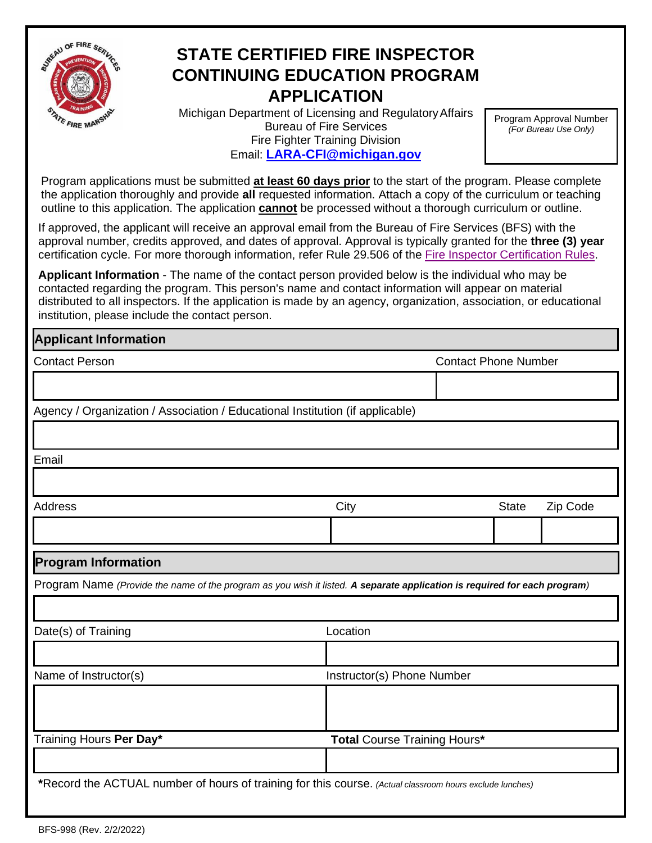

## **STATE CERTIFIED FIRE INSPECTOR CONTINUING EDUCATION PROGRAM APPLICATION**

Michigan Department of Licensing and RegulatoryAffairs Bureau of Fire Services Fire Fighter Training Division Email: **[LARA-CFI@michigan.gov](mailto:LARA-CFI@michigan.gov)**

Program Approval Number *(For Bureau Use Only)*

Program applications must be submitted **at least 60 days prior** to the start of the program. Please complete the application thoroughly and provide **all** requested information. Attach a copy of the curriculum or teaching outline to this application. The application **cannot** be processed without a thorough curriculum or outline.

If approved, the applicant will receive an approval email from the Bureau of Fire Services (BFS) with the approval number, credits approved, and dates of approval. Approval is typically granted for the **three (3) year** certification cycle. For more thorough information, refer Rule 29.506 of the [Fire Inspector Certification Rules.](file:///S:/Fire%20Data/CFI%20Program/Fire%20Inspector%20Certification.html)

**Applicant Information** - The name of the contact person provided below is the individual who may be contacted regarding the program. This person's name and contact information will appear on material distributed to all inspectors. If the application is made by an agency, organization, association, or educational institution, please include the contact person.

## **Applicant Information**

| <b>Contact Person</b>                                                                                                     | <b>Contact Phone Number</b>  |  |              |          |  |
|---------------------------------------------------------------------------------------------------------------------------|------------------------------|--|--------------|----------|--|
|                                                                                                                           |                              |  |              |          |  |
| Agency / Organization / Association / Educational Institution (if applicable)                                             |                              |  |              |          |  |
|                                                                                                                           |                              |  |              |          |  |
| Email                                                                                                                     |                              |  |              |          |  |
|                                                                                                                           |                              |  |              |          |  |
| <b>Address</b>                                                                                                            | City                         |  | <b>State</b> | Zip Code |  |
|                                                                                                                           |                              |  |              |          |  |
| <b>Program Information</b>                                                                                                |                              |  |              |          |  |
| Program Name (Provide the name of the program as you wish it listed. A separate application is required for each program) |                              |  |              |          |  |
|                                                                                                                           |                              |  |              |          |  |
| Date(s) of Training                                                                                                       | Location                     |  |              |          |  |
|                                                                                                                           |                              |  |              |          |  |
| Name of Instructor(s)                                                                                                     | Instructor(s) Phone Number   |  |              |          |  |
|                                                                                                                           |                              |  |              |          |  |
|                                                                                                                           |                              |  |              |          |  |
| Training Hours Per Day*                                                                                                   | Total Course Training Hours* |  |              |          |  |
|                                                                                                                           |                              |  |              |          |  |
| *Record the ACTUAL number of hours of training for this course. (Actual classroom hours exclude lunches)                  |                              |  |              |          |  |